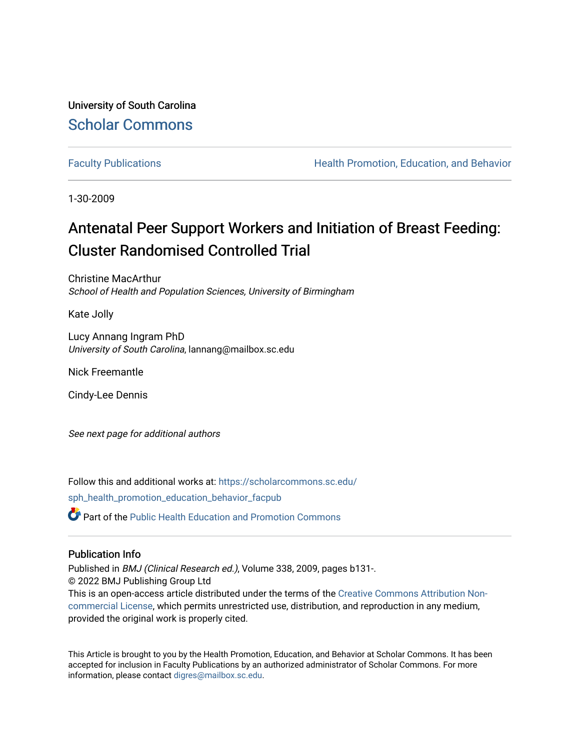University of South Carolina [Scholar Commons](https://scholarcommons.sc.edu/) 

[Faculty Publications](https://scholarcommons.sc.edu/sph_health_promotion_education_behavior_facpub) **Health Promotion, Education, and Behavior Health Promotion, Education, and Behavior** 

1-30-2009

# Antenatal Peer Support Workers and Initiation of Breast Feeding: Cluster Randomised Controlled Trial

Christine MacArthur School of Health and Population Sciences, University of Birmingham

Kate Jolly

Lucy Annang Ingram PhD University of South Carolina, lannang@mailbox.sc.edu

Nick Freemantle

Cindy-Lee Dennis

See next page for additional authors

Follow this and additional works at: [https://scholarcommons.sc.edu/](https://scholarcommons.sc.edu/sph_health_promotion_education_behavior_facpub?utm_source=scholarcommons.sc.edu%2Fsph_health_promotion_education_behavior_facpub%2F346&utm_medium=PDF&utm_campaign=PDFCoverPages) [sph\\_health\\_promotion\\_education\\_behavior\\_facpub](https://scholarcommons.sc.edu/sph_health_promotion_education_behavior_facpub?utm_source=scholarcommons.sc.edu%2Fsph_health_promotion_education_behavior_facpub%2F346&utm_medium=PDF&utm_campaign=PDFCoverPages)

Part of the [Public Health Education and Promotion Commons](http://network.bepress.com/hgg/discipline/743?utm_source=scholarcommons.sc.edu%2Fsph_health_promotion_education_behavior_facpub%2F346&utm_medium=PDF&utm_campaign=PDFCoverPages) 

# Publication Info

Published in BMJ (Clinical Research ed.), Volume 338, 2009, pages b131-. © 2022 BMJ Publishing Group Ltd This is an open-access article distributed under the terms of the [Creative Commons Attribution Non](https://creativecommons.org/licenses/by/4.0/)[commercial License](https://creativecommons.org/licenses/by/4.0/), which permits unrestricted use, distribution, and reproduction in any medium, provided the original work is properly cited.

This Article is brought to you by the Health Promotion, Education, and Behavior at Scholar Commons. It has been accepted for inclusion in Faculty Publications by an authorized administrator of Scholar Commons. For more information, please contact [digres@mailbox.sc.edu.](mailto:digres@mailbox.sc.edu)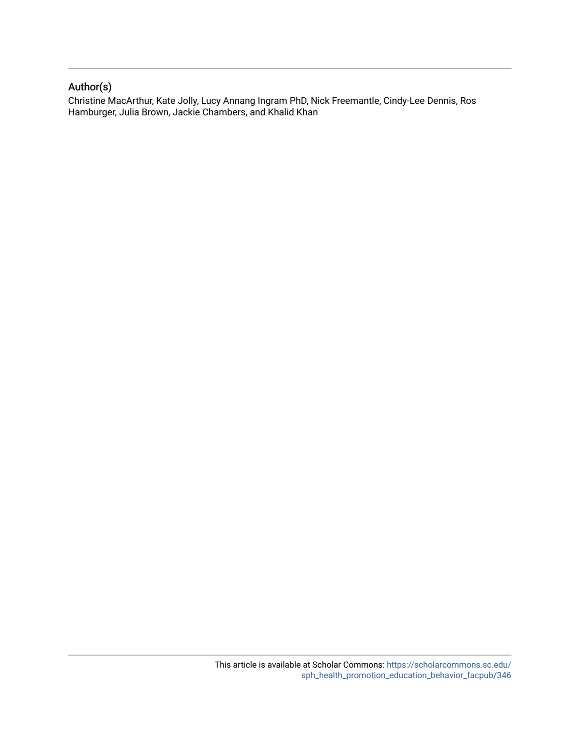# Author(s)

Christine MacArthur, Kate Jolly, Lucy Annang Ingram PhD, Nick Freemantle, Cindy-Lee Dennis, Ros Hamburger, Julia Brown, Jackie Chambers, and Khalid Khan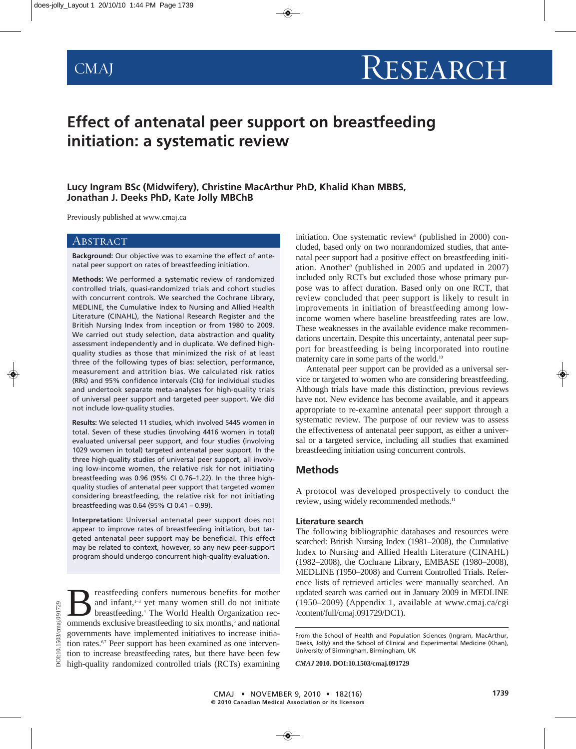# **Effect of antenatal peer support on breastfeeding initiation: a systematic review**

**Lucy Ingram BSc (Midwifery), Christine MacArthur PhD, Khalid Khan MBBS, Jonathan J. Deeks PhD, Kate Jolly MBChB**

Previously published at www.cmaj.ca

#### Abstract

**Background:** Our objective was to examine the effect of antenatal peer support on rates of breastfeeding initiation.

**Methods:** We performed a systematic review of randomized controlled trials, quasi-randomized trials and cohort studies with concurrent controls. We searched the Cochrane Library, MEDLINE, the Cumulative Index to Nursing and Allied Health Literature (CINAHL), the National Research Register and the British Nursing Index from inception or from 1980 to 2009. We carried out study selection, data abstraction and quality assessment independently and in duplicate. We defined highquality studies as those that minimized the risk of at least three of the following types of bias: selection, performance, measurement and attrition bias. We calculated risk ratios (RRs) and 95% confidence intervals (CIs) for individual studies and undertook separate meta-analyses for high-quality trials of universal peer support and targeted peer support. We did not include low-quality studies.

**Results:** We selected 11 studies, which involved 5445 women in total. Seven of these studies (involving 4416 women in total) evaluated universal peer support, and four studies (involving 1029 women in total) targeted antenatal peer support. In the three high-quality studies of universal peer support, all involving low-income women, the relative risk for not initiating breastfeeding was 0.96 (95% CI 0.76–1.22). In the three highquality studies of antenatal peer support that targeted women considering breastfeeding, the relative risk for not initiating breastfeeding was 0.64 (95% CI 0.41 – 0.99).

**Interpretation:** Universal antenatal peer support does not appear to improve rates of breastfeeding initiation, but targeted antenatal peer support may be beneficial. This effect may be related to context, however, so any new peer-support program should undergo concurrent high-quality evaluation.

**Breastfeeding confers numerous benefits for mother**<br>and infant,<sup>1-3</sup> yet many women still do not initiate<br>breastfeeding.<sup>4</sup> The World Health Organization recommends exclusive breastfeeding to six months.<sup>5</sup> and national and infant,<sup>1-3</sup> yet many women still do not initiate breastfeeding.4 The World Health Organization recommends exclusive breastfeeding to six months,<sup>5</sup> and national governments have implemented initiatives to increase initiation rates.<sup>6,7</sup> Peer support has been examined as one intervention to increase breastfeeding rates, but there have been few high-quality randomized controlled trials (RCTs) examining

initiation. One systematic review<sup>8</sup> (published in 2000) concluded, based only on two nonrandomized studies, that antenatal peer support had a positive effect on breastfeeding initiation. Another<sup>9</sup> (published in 2005 and updated in 2007) included only RCTs but excluded those whose primary purpose was to affect duration. Based only on one RCT, that review concluded that peer support is likely to result in improvements in initiation of breastfeeding among lowincome women where baseline breastfeeding rates are low. These weaknesses in the available evidence make recommendations uncertain. Despite this uncertainty, antenatal peer support for breastfeeding is being incorporated into routine maternity care in some parts of the world.<sup>10</sup>

Antenatal peer support can be provided as a universal service or targeted to women who are considering breastfeeding. Although trials have made this distinction, previous reviews have not. New evidence has become available, and it appears appropriate to re-examine antenatal peer support through a systematic review. The purpose of our review was to assess the effectiveness of antenatal peer support, as either a universal or a targeted service, including all studies that examined breastfeeding initiation using concurrent controls.

# **Methods**

A protocol was developed prospectively to conduct the review, using widely recommended methods.<sup>11</sup>

#### **Literature search**

The following bibliographic databases and resources were searched: British Nursing Index (1981–2008), the Cumulative Index to Nursing and Allied Health Literature (CINAHL) (1982–2008), the Cochrane Library, EMBASE (1980–2008), MEDLINE (1950–2008) and Current Controlled Trials. Reference lists of retrieved articles were manually searched. An updated search was carried out in January 2009 in MEDLINE (1950–2009) (Appendix 1, available at www.cmaj.ca/cgi /content/full/cmaj.091729/DC1).

*CMAJ* **2010. DOI:10.1503/cmaj.091729**

From the School of Health and Population Sciences (Ingram, MacArthur, Deeks, Jolly) and the School of Clinical and Experimental Medicine (Khan), University of Birmingham, Birmingham, UK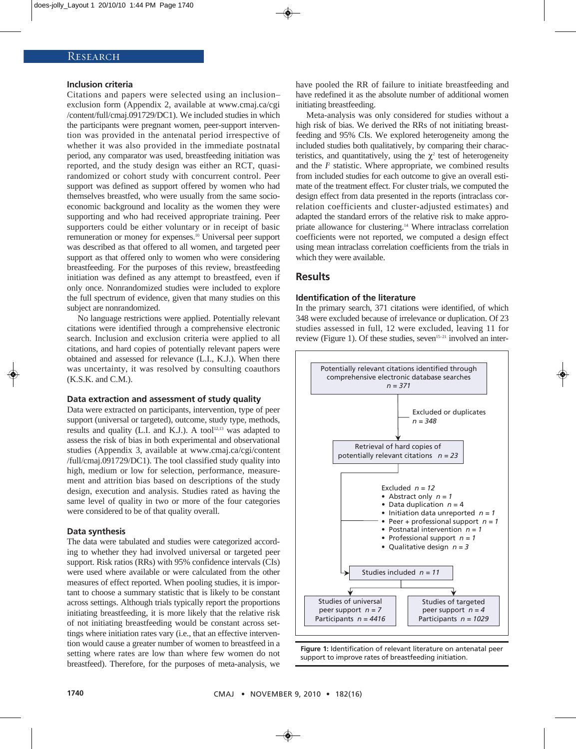#### **Inclusion criteria**

Citations and papers were selected using an inclusion– exclusion form (Appendix 2, available at www.cmaj.ca/cgi /content/full/cmaj.091729/DC1). We included studies in which the participants were pregnant women, peer-support intervention was provided in the antenatal period irrespective of whether it was also provided in the immediate postnatal period, any comparator was used, breastfeeding initiation was reported, and the study design was either an RCT, quasi randomized or cohort study with concurrent control. Peer support was defined as support offered by women who had themselves breastfed, who were usually from the same socioeconomic background and locality as the women they were supporting and who had received appropriate training. Peer supporters could be either voluntary or in receipt of basic remuneration or money for expenses.<sup>10</sup> Universal peer support was described as that offered to all women, and targeted peer support as that offered only to women who were considering breastfeeding. For the purposes of this review, breastfeeding initiation was defined as any attempt to breastfeed, even if only once. Nonrandomized studies were included to explore the full spectrum of evidence, given that many studies on this subject are nonrandomized.

No language restrictions were applied. Potentially relevant citations were identified through a comprehensive electronic search. Inclusion and exclusion criteria were applied to all citations, and hard copies of potentially relevant papers were obtained and assessed for relevance (L.I., K.J.). When there was uncertainty, it was resolved by consulting coauthors (K.S.K. and C.M.).

#### **Data extraction and assessment of study quality**

Data were extracted on participants, intervention, type of peer support (universal or targeted), outcome, study type, methods, results and quality (L.I. and K.J.). A tool $12,13$  was adapted to assess the risk of bias in both experimental and observational studies (Appendix 3, available at www.cmaj.ca/cgi/content /full/cmaj.091729/DC1). The tool classified study quality into high, medium or low for selection, performance, measurement and attrition bias based on descriptions of the study design, execution and analysis. Studies rated as having the same level of quality in two or more of the four categories were considered to be of that quality overall.

#### **Data synthesis**

The data were tabulated and studies were categorized according to whether they had involved universal or targeted peer support. Risk ratios (RRs) with 95% confidence intervals (CIs) were used where available or were calculated from the other measures of effect reported. When pooling studies, it is important to choose a summary statistic that is likely to be constant across settings. Although trials typically report the proportions initiating breastfeeding, it is more likely that the relative risk of not initiating breastfeeding would be constant across settings where initiation rates vary (i.e., that an effective intervention would cause a greater number of women to breastfeed in a setting where rates are low than where few women do not breastfeed). Therefore, for the purposes of meta-analysis, we have pooled the RR of failure to initiate breastfeeding and have redefined it as the absolute number of additional women initiating breastfeeding.

Meta-analysis was only considered for studies without a high risk of bias. We derived the RRs of not initiating breastfeeding and 95% CIs. We explored heterogeneity among the included studies both qualitatively, by comparing their characteristics, and quantitatively, using the  $\chi^2$  test of heterogeneity and the  *statistic. Where appropriate, we combined results* from included studies for each outcome to give an overall estimate of the treatment effect. For cluster trials, we computed the design effect from data presented in the reports (intraclass correlation coefficients and cluster-adjusted estimates) and adapted the standard errors of the relative risk to make appropriate allowance for clustering.<sup>14</sup> Where intraclass correlation coefficients were not reported, we computed a design effect using mean intraclass correlation coefficients from the trials in which they were available.

### **Results**

#### **Identification of the literature**

In the primary search, 371 citations were identified, of which 348 were excluded because of irrelevance or duplication. Of 23 studies assessed in full, 12 were excluded, leaving 11 for review (Figure 1). Of these studies, seven<sup>15-21</sup> involved an inter-



**Figure 1:** Identification of relevant literature on antenatal peer support to improve rates of breastfeeding initiation.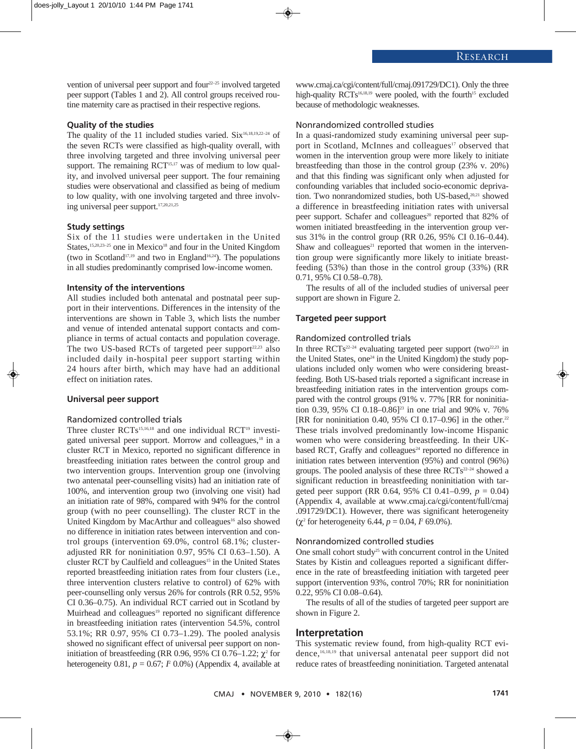vention of universal peer support and four<sup>22-25</sup> involved targeted peer support (Tables 1 and 2). All control groups received routine maternity care as practised in their respective regions.

#### **Quality of the studies**

The quality of the 11 included studies varied.  $Six^{16,18,19,22-24}$  of the seven RCTs were classified as high-quality overall, with three involving targeted and three involving universal peer support. The remaining  $\text{RCT}^{15,17}$  was of medium to low quality, and involved universal peer support. The four remaining studies were observational and classified as being of medium to low quality, with one involving targeted and three involving universal peer support.<sup>17,20,21,25</sup>

#### **Study settings**

Six of the 11 studies were undertaken in the United States,<sup>15,20,23-25</sup> one in Mexico<sup>18</sup> and four in the United Kingdom (two in Scotland<sup>17,19</sup> and two in England<sup>16,24</sup>). The populations in all studies predominantly comprised low-income women.

#### **Intensity of the interventions**

All studies included both antenatal and postnatal peer support in their interventions. Differences in the intensity of the interventions are shown in Table 3, which lists the number and venue of intended antenatal support contacts and compliance in terms of actual contacts and population coverage. The two US-based RCTs of targeted peer support $22,23$  also included daily in-hospital peer support starting within 24 hours after birth, which may have had an additional effect on initiation rates.

#### **Universal peer support**

#### Randomized controlled trials

Three cluster RCTs<sup>15,16,18</sup> and one individual RCT<sup>19</sup> investigated universal peer support. Morrow and colleagues,<sup>18</sup> in a cluster RCT in Mexico, reported no significant difference in breastfeeding initiation rates between the control group and two intervention groups. Intervention group one (involving two antenatal peer-counselling visits) had an initiation rate of 100%, and intervention group two (involving one visit) had an initiation rate of 98%, compared with 94% for the control group (with no peer counselling). The cluster RCT in the United Kingdom by MacArthur and colleagues<sup>16</sup> also showed no difference in initiation rates between intervention and control groups (intervention 69.0%, control 68.1%; clusteradjusted RR for noninitiation 0.97, 95% CI 0.63–1.50). A cluster RCT by Caulfield and colleagues<sup>15</sup> in the United States reported breastfeeding initiation rates from four clusters (i.e., three intervention clusters relative to control) of 62% with peer-counselling only versus 26% for controls (RR 0.52, 95% CI 0.36–0.75). An individual RCT carried out in Scotland by Muirhead and colleagues<sup>19</sup> reported no significant difference in breastfeeding initiation rates (intervention 54.5%, control 53.1%; RR 0.97, 95% CI 0.73–1.29). The pooled analysis showed no significant effect of universal peer support on noninitiation of breastfeeding (RR 0.96, 95% CI 0.76–1.22;  $\chi^2$  for heterogeneity  $0.81$ ,  $p = 0.67$ ;  $P = 0.0%$ ) (Appendix 4, available at

www.cmaj.ca/cgi/content/full/cmaj.091729/DC1). Only the three high-quality RCTs<sup>16,18,19</sup> were pooled, with the fourth<sup>15</sup> excluded because of methodologic weaknesses.

#### Nonrandomized controlled studies

In a quasi-randomized study examining universal peer support in Scotland, McInnes and colleagues<sup>17</sup> observed that women in the intervention group were more likely to initiate breastfeeding than those in the control group (23% v. 20%) and that this finding was significant only when adjusted for confounding variables that included socio-economic deprivation. Two nonrandomized studies, both US-based,<sup>20,21</sup> showed a difference in breastfeeding initiation rates with universal peer support. Schafer and colleagues<sup>20</sup> reported that 82% of women initiated breastfeeding in the intervention group versus 31% in the control group (RR 0.26, 95% CI 0.16–0.44). Shaw and colleagues<sup>21</sup> reported that women in the intervention group were significantly more likely to initiate breastfeeding (53%) than those in the control group (33%) (RR 0.71, 95% CI 0.58–0.78).

The results of all of the included studies of universal peer support are shown in Figure 2.

#### **Targeted peer support**

#### Randomized controlled trials

In three RCTs<sup>22-24</sup> evaluating targeted peer support (two<sup>22,23</sup> in the United States, one<sup>24</sup> in the United Kingdom) the study populations included only women who were considering breastfeeding. Both US-based trials reported a significant increase in breastfeeding initiation rates in the intervention groups compared with the control groups (91% v. 77% [RR for noninitiation 0.39, 95% CI 0.18-0.86]<sup>23</sup> in one trial and 90% v. 76% [RR for noninitiation 0.40, 95% CI 0.17–0.96] in the other.<sup>22</sup> These trials involved predominantly low-income Hispanic women who were considering breastfeeding. In their UKbased RCT, Graffy and colleagues<sup>24</sup> reported no difference in initiation rates between intervention (95%) and control (96%) groups. The pooled analysis of these three RCTs<sup>22-24</sup> showed a significant reduction in breastfeeding noninitiation with targeted peer support (RR 0.64, 95% CI 0.41–0.99, *p* = 0.04) (Appendix 4, available at www.cmaj.ca/cgi/content/full/cmaj .091729 /DC1). However, there was significant heterogeneity ( $χ²$  for heterogeneity 6.44,  $p = 0.04$ ,  $P$  69.0%).

### Nonrandomized controlled studies

One small cohort study<sup>25</sup> with concurrent control in the United States by Kistin and colleagues reported a significant difference in the rate of breastfeeding initiation with targeted peer support (intervention 93%, control 70%; RR for noninitiation 0.22, 95% CI 0.08–0.64).

The results of all of the studies of targeted peer support are shown in Figure 2.

# **Interpretation**

This systematic review found, from high-quality RCT evidence,16,18,19 that universal antenatal peer support did not reduce rates of breastfeeding noninitiation. Targeted antenatal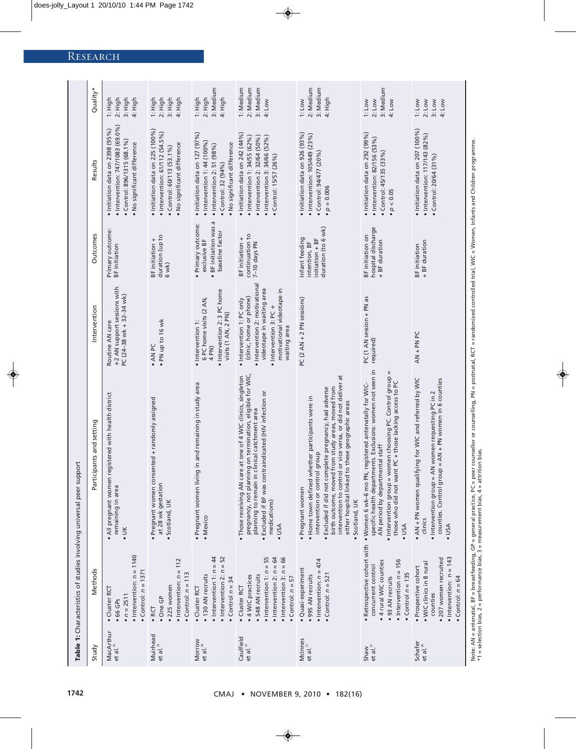| Study                    | · Cluster RCT<br>$n = 2511$<br>66 GPs<br>MacArthur<br>et al. <sup>16</sup>                                                        | 225 women<br>One GP<br>$\bullet$ RCT<br>Muirhead<br>et al. <sup>19</sup>                                                                              | Cluster RCT<br>Morrow<br>et al. <sup>18</sup>                                                                                                                                     | · Cluster RCT<br>Caulfield<br>et al. <sup>15</sup>                                                                                                                                                                                                                                 | • 995 AN recruits<br>McInnes<br>et al. $"$                                                                                                                                                                                                                                                                                                             | • 93 AN recruits<br>Shaw<br>et al. <sup>21</sup>                                                                                                                                                                                                                                       | Control: $n = 64$<br>counties<br>Schafer<br>et al. $^{20}$                                                                                                                                       |
|--------------------------|-----------------------------------------------------------------------------------------------------------------------------------|-------------------------------------------------------------------------------------------------------------------------------------------------------|-----------------------------------------------------------------------------------------------------------------------------------------------------------------------------------|------------------------------------------------------------------------------------------------------------------------------------------------------------------------------------------------------------------------------------------------------------------------------------|--------------------------------------------------------------------------------------------------------------------------------------------------------------------------------------------------------------------------------------------------------------------------------------------------------------------------------------------------------|----------------------------------------------------------------------------------------------------------------------------------------------------------------------------------------------------------------------------------------------------------------------------------------|--------------------------------------------------------------------------------------------------------------------------------------------------------------------------------------------------|
| Methods                  | $\bullet$ Intervention: $n = 1140$<br>Control: $n = 1371$                                                                         | $\bullet$ Intervention: $n = 112$<br>Control: $n = 113$                                                                                               | Intervention 1: $n = 44$<br>$= 52$<br>$\bullet$ Intervention 2: $n$<br>130 AN recruits<br>Control $n = 34$                                                                        | $\bullet$ Intervention 3: $n = 66$<br>55<br>Intervention 2: $n = 64$<br>$\bullet$ Intervention 1: $n =$<br>548 AN recruits<br>• 4 WIC practices<br>Control: $n = 57$                                                                                                               | • Intervention: $n = 474$<br>Quasi-experiment<br>Control: $n = 521$                                                                                                                                                                                                                                                                                    | Retrospective cohort with<br>156<br>· 4 rural WIC counties<br>concurrent control<br>$\bullet$ Intervention $n =$<br>• Control $n = 135$                                                                                                                                                | $\bullet$ Intervention: $n = 143$<br>· 207 women recruited<br>· WIC clinics in 8 rural<br>· Prospective cohort                                                                                   |
| Participants and setting | egistered with health district<br>· All pregnant women r<br>remaining in area<br>$\bullet$ UK                                     | · Pregnant women consented + randomly assigned<br>at 28 wk gestation<br>Scotland, UK<br>$\bullet$                                                     | . Pregnant women living in and remaining in study area<br>· Mexico                                                                                                                | pregnancy, not planning on termination, eligible for WIC,<br>. Those receiving AN care at one of 4 WIC clinics, singleton<br>Excluded if BF was contraindicated (HIV infection or<br>planning to remain in clinical catchment area<br>medications)<br>$\overline{\phantom{a}}$ USA | intervention to control or vice versa, or did not deliver at<br>birth outcome, moved from study areas, moved from<br>Excluded if did not complete pregnancy, had adverse<br>. Home town defined whether participants were in<br>to these geographic areas<br>intervention or control group<br>either hospital linked<br>Pregnant women<br>Scotland, UK | specific health departments. Exclusions: women not seen in<br>• Intervention group = women choosing PC. Control group =<br>those who did not want PC + those lacking access to PC<br>. Women 6 wk-6 mo PN, registered antenatally for WIC-<br>AN period by departmental staff<br>+ USA | . AN + PN women qualifying for WIC and referred by WIC<br>counties. Control group = AN + PN women in 6 counties<br>$\bullet$ Intervention group = AN women requesting PC in 2<br>clinics<br>ASU. |
| Intervention             | +2 AN support sessions with<br>PC (24-38 wk + 32-34 wk)<br>Routine AN care                                                        | . PN up to 16 wk<br>. AN PC                                                                                                                           | • Intervention 2: 3 PC home<br>6 PC home visits (2 AN,<br>visits (1 AN, 2 PN)<br>· Intervention 1:<br>4 PN)                                                                       | · Intervention 2: motivational<br>motivational videotape in<br>videotape in waiting area<br>(clinic, home or phone)<br>· Intervention 1: PC only<br>$\bullet$ Intervention 3: PC +<br>waiting area                                                                                 | PC (2 AN + 2 PN sessions)                                                                                                                                                                                                                                                                                                                              | PC (1 AN session + PN as<br>required)                                                                                                                                                                                                                                                  | AN + PN PC                                                                                                                                                                                       |
| Outcomes                 | Primary outcome:<br>BF initiation                                                                                                 | duration (up to<br>BF initiation +<br>6 wk)                                                                                                           | BF initiation was a<br>· Primary outcome:<br>baseline factor<br>exclusive BF                                                                                                      | continuation to<br>BF initiation +<br>7-10 days PN                                                                                                                                                                                                                                 | duration (to 6 wk)<br>Infant feeding<br>initiation + BF<br>intention, BF                                                                                                                                                                                                                                                                               | hospital discharge<br>BF initiation on<br>+ BF duration                                                                                                                                                                                                                                | + BF duration<br>BF initiation                                                                                                                                                                   |
| Results                  | • Intervention: $747/1083$ (69.0%)<br>· Initiation data on 2398 (95%)<br>Control: 896/1315 (68.1%)<br>· No significant difference | $\bullet$ Initiation data on 225 (100%)<br>$\bullet$ Intervention: 61/112 (54.5%)<br>· No significant difference<br>$\bullet$ Control: 60/113 (53.1%) | $\bullet$ Initiation data on 127 (97%)<br>$\bullet$ Intervention 1: 44 (100%)<br>· No significant difference<br>$\bullet$ Intervention 2: 51 (98%)<br>$\bullet$ Control: 32 (94%) | $\bullet$ Initiation data on 242 (44%)<br>$\bullet$ Intervention 1: 34/55 (62%)<br>$\bullet$ Intervention 2: 32/64 (50%)<br>$\bullet$ Intervention 3: 34/66 (52%)<br>• Control: 15/57 (26%)                                                                                        | $\bullet$ Initiation data on 926 (93%)<br>$\bullet$ Intervention: 105/449 (23%)<br>· Control: 94/477 (20%)<br>$p = 0.006$                                                                                                                                                                                                                              | · Initiation data on 292 (99%)<br>$\bullet$ Intervention: 82/156 (53%)<br>$\bullet$ Control: 45/135 (33%)<br>p < 0.05                                                                                                                                                                  | · Initiation data on 207 (100%)<br>$\bullet$ Intervention: 117/143 (82%)<br>$\bullet$ Control: 20/64 (31%)                                                                                       |
| Quality*                 | 2: High<br>3: High<br>4: High<br>1: High                                                                                          | 1: High<br>2: High<br>3: High<br>4: High                                                                                                              | 3: Medium<br>4: High<br>2: High<br>1: High                                                                                                                                        | 1: Medium<br>2: Medium<br>3: Medium<br>4: Low                                                                                                                                                                                                                                      | 3: Medium<br>2: Medium<br>4: High<br>1: Low                                                                                                                                                                                                                                                                                                            | 3: Medium<br>1: Low<br>2: Low<br>4: Low                                                                                                                                                                                                                                                | 2: Low<br>1: Low<br>3: Low<br>4: Low                                                                                                                                                             |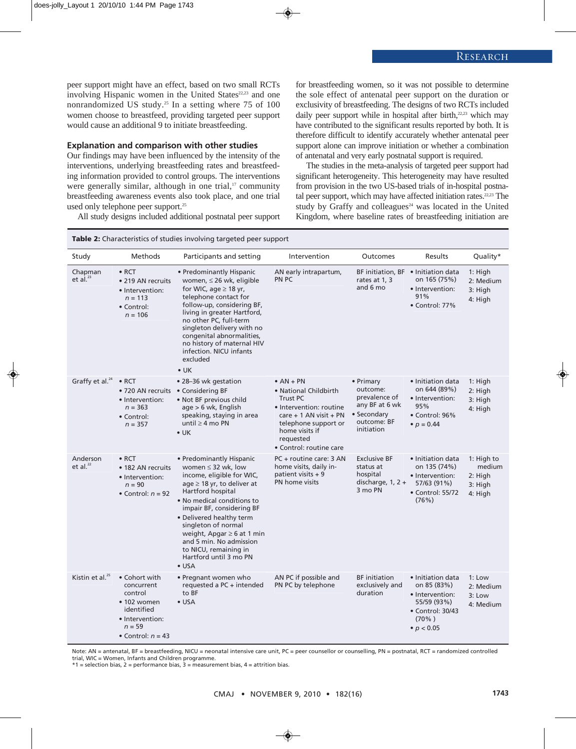peer support might have an effect, based on two small RCTs involving Hispanic women in the United States<sup>22,23</sup> and one nonrandomized US study.<sup>25</sup> In a setting where 75 of 100 women choose to breastfeed, providing targeted peer support would cause an additional 9 to initiate breastfeeding.

#### **Explanation and comparison with other studies**

Our findings may have been influenced by the intensity of the interventions, underlying breastfeeding rates and breastfeeding information provided to control groups. The interventions were generally similar, although in one trial, $17$  community breastfeeding awareness events also took place, and one trial used only telephone peer support.<sup>25</sup>

All study designs included additional postnatal peer support

for breastfeeding women, so it was not possible to determine the sole effect of antenatal peer support on the duration or exclusivity of breastfeeding. The designs of two RCTs included daily peer support while in hospital after birth,<sup>22,23</sup> which may have contributed to the significant results reported by both. It is therefore difficult to identify accurately whether antenatal peer support alone can improve initiation or whether a combination of antenatal and very early postnatal support is required.

The studies in the meta-analysis of targeted peer support had significant heterogeneity. This heterogeneity may have resulted from provision in the two US-based trials of in-hospital postnatal peer support, which may have affected initiation rates.<sup>22,23</sup> The study by Graffy and colleagues<sup>24</sup> was located in the United Kingdom, where baseline rates of breastfeeding initiation are

| Table 2: Characteristics of studies involving targeted peer support |                                                                                                                                 |                                                                                                                                                                                                                                                                                                                                                                                          |                                                                                                                                                                                                        |                                                                                                      |                                                                                                                    |                                                       |  |  |
|---------------------------------------------------------------------|---------------------------------------------------------------------------------------------------------------------------------|------------------------------------------------------------------------------------------------------------------------------------------------------------------------------------------------------------------------------------------------------------------------------------------------------------------------------------------------------------------------------------------|--------------------------------------------------------------------------------------------------------------------------------------------------------------------------------------------------------|------------------------------------------------------------------------------------------------------|--------------------------------------------------------------------------------------------------------------------|-------------------------------------------------------|--|--|
| Study                                                               | <b>Methods</b>                                                                                                                  | Participants and setting                                                                                                                                                                                                                                                                                                                                                                 | Intervention                                                                                                                                                                                           | Outcomes                                                                                             | Results                                                                                                            | Quality*                                              |  |  |
| Chapman<br>et al. <sup>23</sup>                                     | $\bullet$ RCT<br>• 219 AN recruits<br>• Intervention:<br>$n = 113$<br>• Control:<br>$n = 106$                                   | • Predominantly Hispanic<br>women, $\leq$ 26 wk, eligible<br>for WIC, age $\geq$ 18 yr,<br>telephone contact for<br>follow-up, considering BF,<br>living in greater Hartford,<br>no other PC, full-term<br>singleton delivery with no<br>congenital abnormalities,<br>no history of maternal HIV<br>infection. NICU infants<br>excluded<br>$\bullet$ UK                                  | AN early intrapartum,<br>PN PC                                                                                                                                                                         | rates at 1, 3<br>and 6 mo                                                                            | BF initiation, BF . Initiation data<br>on 165 (75%)<br>• Intervention:<br>91%<br>· Control: 77%                    | $1:$ High<br>2: Medium<br>3: High<br>4: High          |  |  |
| Graffy et al. <sup>24</sup> . RCT                                   | • 720 AN recruits • Considering BF<br>• Intervention:<br>$n = 363$<br>• Control:<br>$n = 357$                                   | • 28-36 wk gestation<br>• Not BF previous child<br>$age > 6$ wk, English<br>speaking, staying in area<br>until $\geq$ 4 mo PN<br>$\bullet$ UK                                                                                                                                                                                                                                            | $\bullet$ AN + PN<br>• National Childbirth<br><b>Trust PC</b><br>• Intervention: routine<br>$care + 1 AN visit + PN$<br>telephone support or<br>home visits if<br>requested<br>• Control: routine care | • Primary<br>outcome:<br>prevalence of<br>any BF at 6 wk<br>• Secondary<br>outcome: BF<br>initiation | · Initiation data<br>on 644 (89%)<br>• Intervention:<br>95%<br>• Control: 96%<br>• $p = 0.44$                      | $1:$ High<br>2: High<br>3: High<br>4: High            |  |  |
| Anderson<br>et al. $^{22}$                                          | $\bullet$ RCT<br>• 182 AN recruits<br>• Intervention:<br>$n = 90$<br>• Control: $n = 92$                                        | • Predominantly Hispanic<br>women $\leq$ 32 wk, low<br>income, eligible for WIC,<br>age $\geq$ 18 yr, to deliver at<br>Hartford hospital<br>• No medical conditions to<br>impair BF, considering BF<br>• Delivered healthy term<br>singleton of normal<br>weight, Apgar $\geq 6$ at 1 min<br>and 5 min. No admission<br>to NICU, remaining in<br>Hartford until 3 mo PN<br>$\bullet$ USA | PC + routine care: 3 AN<br>home visits, daily in-<br>patient visits $+9$<br>PN home visits                                                                                                             | <b>Exclusive BF</b><br>status at<br>hospital<br>discharge, $1, 2 +$<br>3 mo PN                       | • Initiation data<br>on 135 (74%)<br>• Intervention:<br>57/63 (91%)<br>• Control: 55/72<br>(76%)                   | 1: High to<br>medium<br>2: High<br>3: High<br>4: High |  |  |
| Kistin et al. <sup>25</sup>                                         | • Cohort with<br>concurrent<br>control<br>$\cdot$ 102 women<br>identified<br>• Intervention:<br>$n = 59$<br>• Control: $n = 43$ | • Pregnant women who<br>requested a PC + intended<br>to BF<br>$\bullet$ USA                                                                                                                                                                                                                                                                                                              | AN PC if possible and<br>PN PC by telephone                                                                                                                                                            | <b>BF</b> initiation<br>exclusively and<br>duration                                                  | • Initiation data<br>on 85 (83%)<br>• Intervention:<br>55/59 (93%)<br>• Control: 30/43<br>$(70\%)$<br>• $p < 0.05$ | 1: Low<br>2: Medium<br>3: Low<br>4: Medium            |  |  |

Note: AN = antenatal, BF = breastfeeding, NICU = neonatal intensive care unit, PC = peer counsellor or counselling, PN = postnatal, RCT = randomized controlled trial, WIC = Women, Infants and Children programme.

 $*1$  = selection bias, 2 = performance bias, 3 = measurement bias, 4 = attrition bias.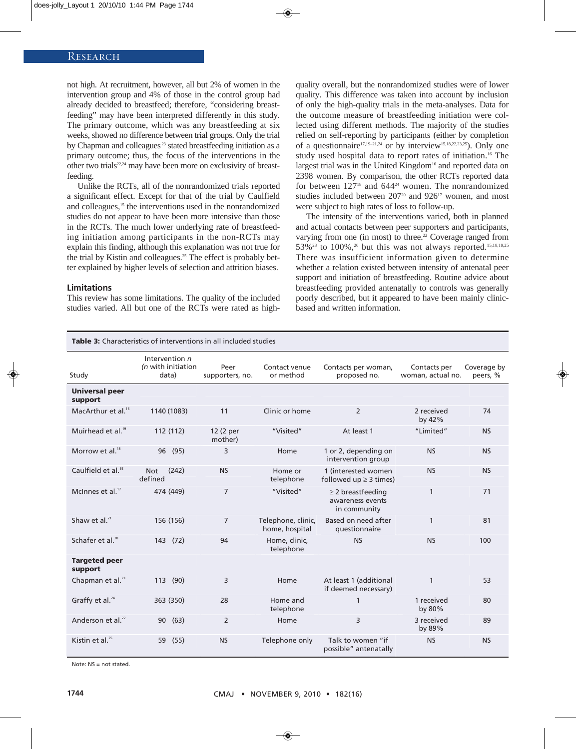not high. At recruitment, however, all but 2% of women in the intervention group and 4% of those in the control group had already decided to breastfeed; therefore, "considering breastfeeding" may have been interpreted differently in this study. The primary outcome, which was any breastfeeding at six weeks, showed no difference between trial groups. Only the trial by Chapman and colleagues<sup>23</sup> stated breastfeeding initiation as a primary outcome; thus, the focus of the interventions in the other two trials<sup>22,24</sup> may have been more on exclusivity of breastfeeding.

Unlike the RCTs, all of the nonrandomized trials reported a significant effect. Except for that of the trial by Caulfield and colleagues,<sup>15</sup> the interventions used in the nonrandomized studies do not appear to have been more intensive than those in the RCTs. The much lower underlying rate of breastfeeding initiation among participants in the non-RCTs may explain this finding, although this explanation was not true for the trial by Kistin and colleagues.25 The effect is probably better explained by higher levels of selection and attrition biases.

#### **Limitations**

This review has some limitations. The quality of the included studies varied. All but one of the RCTs were rated as highquality overall, but the nonrandomized studies were of lower quality. This difference was taken into account by inclusion of only the high-quality trials in the meta-analyses. Data for the outcome measure of breastfeeding initiation were collected using different methods. The majority of the studies relied on self-reporting by participants (either by completion of a questionnaire<sup>17,19–21,24</sup> or by interview<sup>15,18,22,23,25</sup>). Only one study used hospital data to report rates of initiation.<sup>16</sup> The largest trial was in the United Kingdom<sup>16</sup> and reported data on 2398 women. By comparison, the other RCTs reported data for between 12718 and 64424 women. The nonrandomized studies included between  $207<sup>20</sup>$  and  $926<sup>17</sup>$  women, and most were subject to high rates of loss to follow-up.

The intensity of the interventions varied, both in planned and actual contacts between peer supporters and participants, varying from one (in most) to three.<sup>22</sup> Coverage ranged from 53%<sup>23</sup> to 100%,<sup>20</sup> but this was not always reported.<sup>15,18,19,25</sup> There was insufficient information given to determine whether a relation existed between intensity of antenatal peer support and initiation of breastfeeding. Routine advice about breastfeeding provided antenatally to controls was generally poorly described, but it appeared to have been mainly clinicbased and written information.

| <b>Table 3:</b> Characteristics of interventions in all included studies |                                               |                         |                                      |                                                            |                                   |                         |  |  |
|--------------------------------------------------------------------------|-----------------------------------------------|-------------------------|--------------------------------------|------------------------------------------------------------|-----------------------------------|-------------------------|--|--|
| Study                                                                    | Intervention n<br>(n with initiation<br>data) | Peer<br>supporters, no. | Contact venue<br>or method           | Contacts per woman,<br>proposed no.                        | Contacts per<br>woman, actual no. | Coverage by<br>peers, % |  |  |
| <b>Universal peer</b><br>support                                         |                                               |                         |                                      |                                                            |                                   |                         |  |  |
| MacArthur et al. <sup>16</sup>                                           | 1140 (1083)                                   | 11                      | Clinic or home                       | $\overline{2}$                                             | 2 received<br>by 42%              | 74                      |  |  |
| Muirhead et al. <sup>19</sup>                                            | 112 (112)                                     | 12 (2 per<br>mother)    | "Visited"                            | At least 1                                                 | "Limited"                         | <b>NS</b>               |  |  |
| Morrow et al. <sup>18</sup>                                              | (95)<br>96                                    | 3                       | Home                                 | 1 or 2, depending on<br>intervention group                 | <b>NS</b>                         | <b>NS</b>               |  |  |
| Caulfield et al. <sup>15</sup>                                           | (242)<br>Not<br>defined                       | <b>NS</b>               | Home or<br>telephone                 | 1 (interested women<br>followed up $\geq$ 3 times)         | <b>NS</b>                         | <b>NS</b>               |  |  |
| McInnes et al. <sup>17</sup>                                             | 474 (449)                                     | $\overline{7}$          | "Visited"                            | $\geq$ 2 breastfeeding<br>awareness events<br>in community | 1                                 | 71                      |  |  |
| Shaw et al. $^{21}$                                                      | 156 (156)                                     | $\overline{7}$          | Telephone, clinic,<br>home, hospital | Based on need after<br>questionnaire                       | 1                                 | 81                      |  |  |
| Schafer et al. $^{20}$                                                   | 143 (72)                                      | 94                      | Home, clinic,<br>telephone           | <b>NS</b>                                                  | <b>NS</b>                         | 100                     |  |  |
| <b>Targeted peer</b><br>support                                          |                                               |                         |                                      |                                                            |                                   |                         |  |  |
| Chapman et al. <sup>23</sup>                                             | 113 (90)                                      | 3                       | Home                                 | At least 1 (additional<br>if deemed necessary)             | 1                                 | 53                      |  |  |
| Graffy et al. <sup>24</sup>                                              | 363 (350)                                     | 28                      | Home and<br>telephone                | 1                                                          | 1 received<br>by 80%              | 80                      |  |  |
| Anderson et al. <sup>22</sup>                                            | (63)<br>90                                    | $\overline{2}$          | Home                                 | 3                                                          | 3 received<br>by 89%              | 89                      |  |  |
| Kistin et al. <sup>25</sup>                                              | (55)<br>59                                    | <b>NS</b>               | Telephone only                       | Talk to women "if<br>possible" antenatally                 | <b>NS</b>                         | <b>NS</b>               |  |  |

Note: NS = not stated.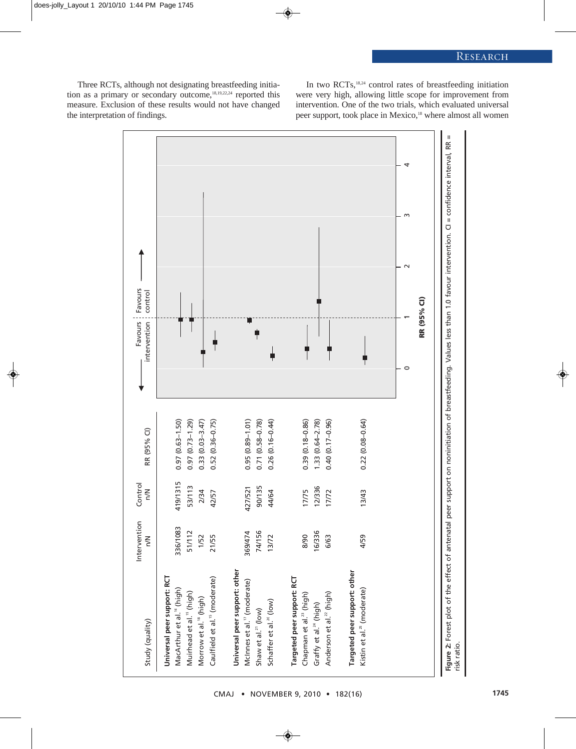Three RCTs, although not designating breastfeeding initiation as a primary or secondary outcome,<sup>18,19,22,24</sup> reported this measure. Exclusion of these results would not have changed the interpretation of findings.

In two RCTs,<sup>18,24</sup> control rates of breastfeeding initiation were very high, allowing little scope for improvement from intervention. One of the two trials, which evaluated universal peer support, took place in Mexico,<sup>18</sup> where almost all women